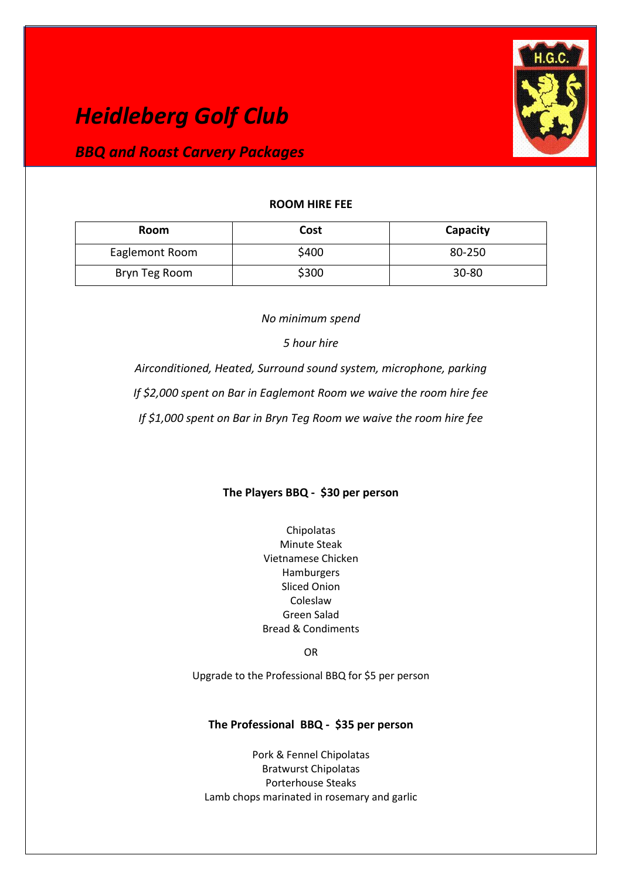# *Heidleberg Golf Club*

# *BBQ and Roast Carvery Packages*



### **ROOM HIRE FEE**

| <b>Room</b>    | <b>Cost</b> | Capacity  |
|----------------|-------------|-----------|
| Eaglemont Room | \$400       | 80-250    |
| Bryn Teg Room  | \$300       | $30 - 80$ |

*No minimum spend*

*5 hour hire* 

*Airconditioned, Heated, Surround sound system, microphone, parking* 

*If \$2,000 spent on Bar in Eaglemont Room we waive the room hire fee*

*If \$1,000 spent on Bar in Bryn Teg Room we waive the room hire fee*

# **The Players BBQ - \$30 per person**

Chipolatas Minute Steak Vietnamese Chicken Hamburgers Sliced Onion Coleslaw Green Salad Bread & Condiments

OR

Upgrade to the Professional BBQ for \$5 per person

# **The Professional BBQ - \$35 per person**

Pork & Fennel Chipolatas Bratwurst Chipolatas Porterhouse Steaks Lamb chops marinated in rosemary and garlic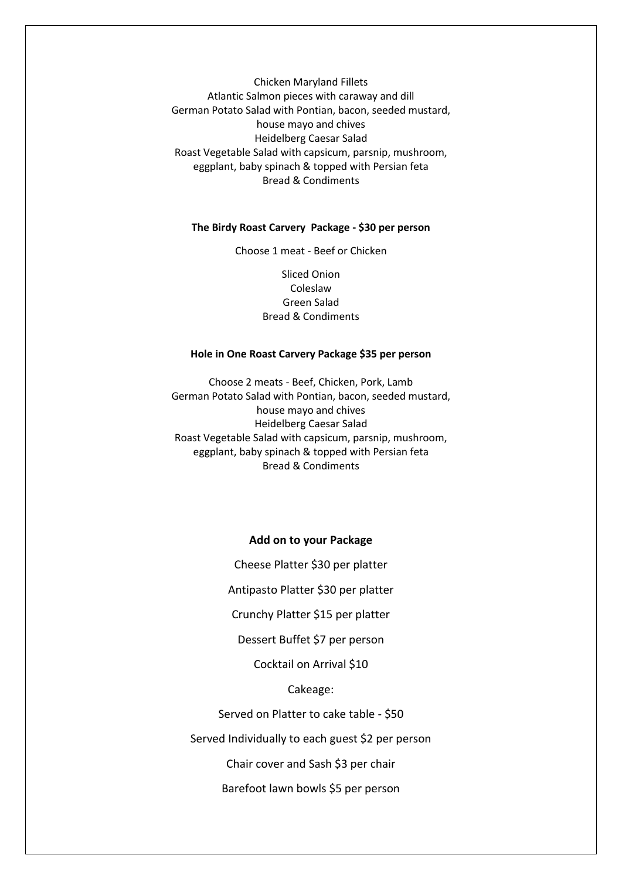Chicken Maryland Fillets Atlantic Salmon pieces with caraway and dill German Potato Salad with Pontian, bacon, seeded mustard, house mayo and chives Heidelberg Caesar Salad Roast Vegetable Salad with capsicum, parsnip, mushroom, eggplant, baby spinach & topped with Persian feta Bread & Condiments

#### **The Birdy Roast Carvery Package - \$30 per person**

Choose 1 meat - Beef or Chicken

Sliced Onion Coleslaw Green Salad Bread & Condiments

#### **Hole in One Roast Carvery Package \$35 per person**

Choose 2 meats - Beef, Chicken, Pork, Lamb German Potato Salad with Pontian, bacon, seeded mustard, house mayo and chives Heidelberg Caesar Salad Roast Vegetable Salad with capsicum, parsnip, mushroom, eggplant, baby spinach & topped with Persian feta Bread & Condiments

#### **Add on to your Package**

Cheese Platter \$30 per platter

Antipasto Platter \$30 per platter

Crunchy Platter \$15 per platter

Dessert Buffet \$7 per person

Cocktail on Arrival \$10

#### Cakeage:

Served on Platter to cake table - \$50

Served Individually to each guest \$2 per person

Chair cover and Sash \$3 per chair

Barefoot lawn bowls \$5 per person